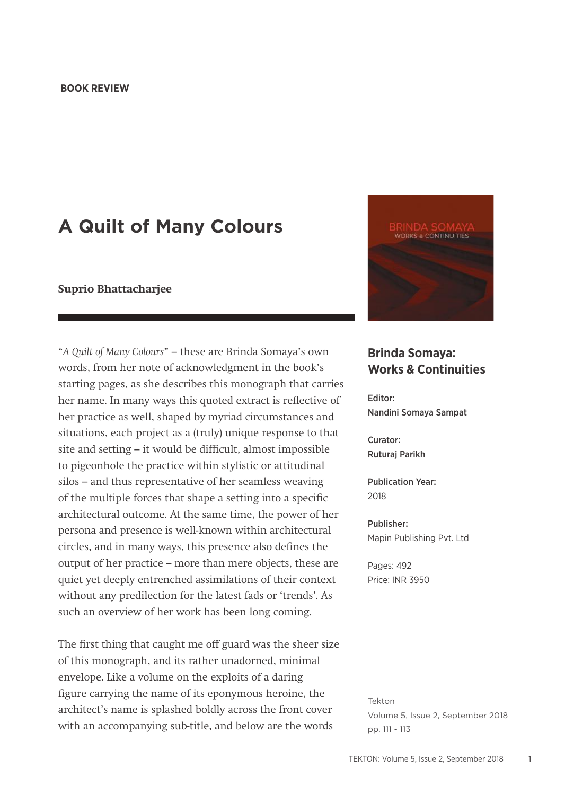## **BOOK REVIEW**

## **A Quilt of Many Colours**

## **Suprio Bhattacharjee**

"*A Quilt of Many Colours*" – these are Brinda Somaya's own words, from her note of acknowledgment in the book's starting pages, as she describes this monograph that carries her name. In many ways this quoted extract is reflective of her practice as well, shaped by myriad circumstances and situations, each project as a (truly) unique response to that site and setting – it would be difficult, almost impossible to pigeonhole the practice within stylistic or attitudinal silos – and thus representative of her seamless weaving of the multiple forces that shape a setting into a specific architectural outcome. At the same time, the power of her persona and presence is well-known within architectural circles, and in many ways, this presence also defines the output of her practice – more than mere objects, these are quiet yet deeply entrenched assimilations of their context without any predilection for the latest fads or 'trends'. As such an overview of her work has been long coming.

The first thing that caught me off guard was the sheer size of this monograph, and its rather unadorned, minimal envelope. Like a volume on the exploits of a daring figure carrying the name of its eponymous heroine, the architect's name is splashed boldly across the front cover with an accompanying sub-title, and below are the words



## **Brinda Somaya: Works & Continuities**

Editor: Nandini Somaya Sampat

Curator: Ruturaj Parikh

Publication Year: 2018

Publisher: Mapin Publishing Pvt. Ltd

Pages: 492 Price: INR 3950

Tekton Volume 5, Issue 2, September 2018 pp. 111 - 113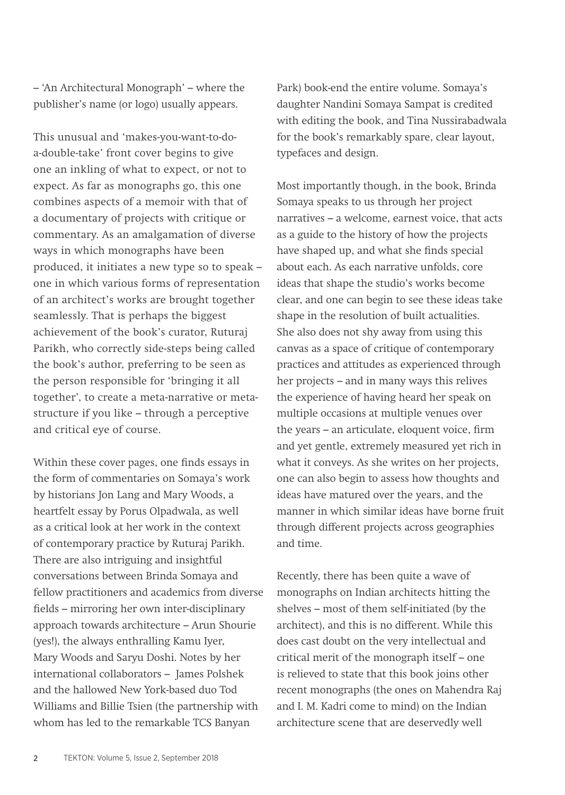– 'An Architectural Monograph' – where the publisher's name (or logo) usually appears.

This unusual and 'makes-you-want-to-doa-double-take' front cover begins to give one an inkling of what to expect, or not to expect. As far as monographs go, this one combines aspects of a memoir with that of a documentary of projects with critique or commentary. As an amalgamation of diverse ways in which monographs have been produced, it initiates a new type so to speak – one in which various forms of representation of an architect's works are brought together seamlessly. That is perhaps the biggest achievement of the book's curator, Ruturaj Parikh, who correctly side-steps being called the book's author, preferring to be seen as the person responsible for 'bringing it all together', to create a meta-narrative or metastructure if you like – through a perceptive and critical eye of course.

Within these cover pages, one finds essays in the form of commentaries on Somaya's work by historians Jon Lang and Mary Woods, a heartfelt essay by Porus Olpadwala, as well as a critical look at her work in the context of contemporary practice by Ruturaj Parikh. There are also intriguing and insightful conversations between Brinda Somaya and fellow practitioners and academics from diverse fields – mirroring her own inter-disciplinary approach towards architecture – Arun Shourie (yes!), the always enthralling Kamu Iyer, Mary Woods and Saryu Doshi. Notes by her international collaborators – James Polshek and the hallowed New York-based duo Tod Williams and Billie Tsien (the partnership with whom has led to the remarkable TCS Banyan

Park) book-end the entire volume. Somaya's daughter Nandini Somaya Sampat is credited with editing the book, and Tina Nussirabadwala for the book's remarkably spare, clear layout, typefaces and design.

Most importantly though, in the book, Brinda Somaya speaks to us through her project narratives – a welcome, earnest voice, that acts as a guide to the history of how the projects have shaped up, and what she finds special about each. As each narrative unfolds, core ideas that shape the studio's works become clear, and one can begin to see these ideas take shape in the resolution of built actualities. She also does not shy away from using this canvas as a space of critique of contemporary practices and attitudes as experienced through her projects – and in many ways this relives the experience of having heard her speak on multiple occasions at multiple venues over the years – an articulate, eloquent voice, firm and yet gentle, extremely measured yet rich in what it conveys. As she writes on her projects, one can also begin to assess how thoughts and ideas have matured over the years, and the manner in which similar ideas have borne fruit through different projects across geographies and time.

Recently, there has been quite a wave of monographs on Indian architects hitting the shelves – most of them self-initiated (by the architect), and this is no different. While this does cast doubt on the very intellectual and critical merit of the monograph itself – one is relieved to state that this book joins other recent monographs (the ones on Mahendra Raj and I. M. Kadri come to mind) on the Indian architecture scene that are deservedly well